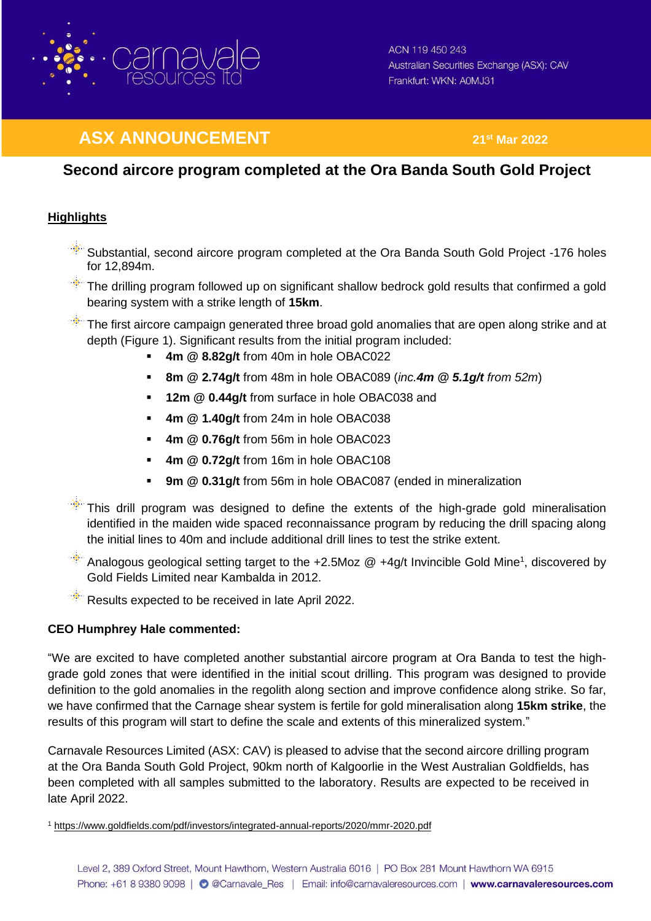

# **ASX ANNOUNCEMENT 21<sup>st</sup> Mar 2022**

## **Second aircore program completed at the Ora Banda South Gold Project**

### **Highlights**

- Substantial, second aircore program completed at the Ora Banda South Gold Project -176 holes for 12,894m.
- $\gg$  The drilling program followed up on significant shallow bedrock gold results that confirmed a gold bearing system with a strike length of **15km**.
- $\mathbb{R}$  The first aircore campaign generated three broad gold anomalies that are open along strike and at depth (Figure 1). Significant results from the initial program included:
	- **4m @ 8.82g/t** from 40m in hole OBAC022
	- **8m @ 2.74g/t** from 48m in hole OBAC089 (*inc.4m @ 5.1g/t from 52m*)
	- **12m @ 0.44g/t** from surface in hole OBAC038 and
	- **4m @ 1.40g/t** from 24m in hole OBAC038
	- **4m @ 0.76g/t** from 56m in hole OBAC023
	- **4m @ 0.72g/t** from 16m in hole OBAC108
	- **9m @ 0.31g/t** from 56m in hole OBAC087 (ended in mineralization
- $\mathbb{R}$  This drill program was designed to define the extents of the high-grade gold mineralisation identified in the maiden wide spaced reconnaissance program by reducing the drill spacing along the initial lines to 40m and include additional drill lines to test the strike extent.
- Analogous geological setting target to the  $+2.5$ Moz  $@ +4g/t$  Invincible Gold Mine<sup>1</sup>, discovered by Gold Fields Limited near Kambalda in 2012.
- Results expected to be received in late April 2022.

#### **CEO Humphrey Hale commented:**

"We are excited to have completed another substantial aircore program at Ora Banda to test the highgrade gold zones that were identified in the initial scout drilling. This program was designed to provide definition to the gold anomalies in the regolith along section and improve confidence along strike. So far, we have confirmed that the Carnage shear system is fertile for gold mineralisation along **15km strike**, the results of this program will start to define the scale and extents of this mineralized system."

Carnavale Resources Limited (ASX: CAV) is pleased to advise that the second aircore drilling program at the Ora Banda South Gold Project, 90km north of Kalgoorlie in the West Australian Goldfields, has been completed with all samples submitted to the laboratory. Results are expected to be received in late April 2022.

<sup>1</sup> <https://www.goldfields.com/pdf/investors/integrated-annual-reports/2020/mmr-2020.pdf>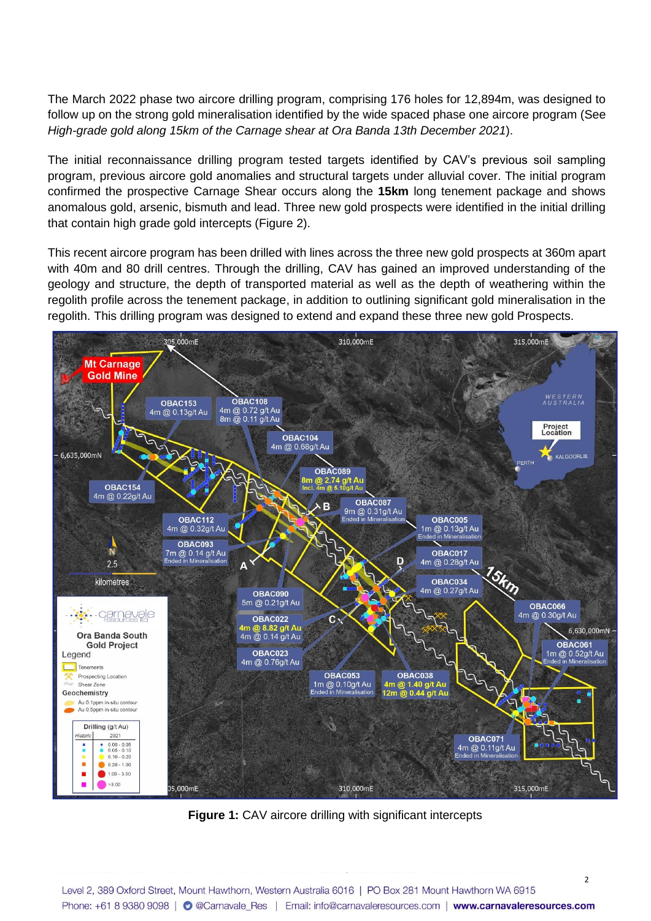The March 2022 phase two aircore drilling program, comprising 176 holes for 12,894m, was designed to follow up on the strong gold mineralisation identified by the wide spaced phase one aircore program (See *High-grade gold along 15km of the Carnage shear at Ora Banda 13th December 2021*).

The initial reconnaissance drilling program tested targets identified by CAV's previous soil sampling program, previous aircore gold anomalies and structural targets under alluvial cover. The initial program confirmed the prospective Carnage Shear occurs along the **15km** long tenement package and shows anomalous gold, arsenic, bismuth and lead. Three new gold prospects were identified in the initial drilling that contain high grade gold intercepts (Figure 2).

This recent aircore program has been drilled with lines across the three new gold prospects at 360m apart with 40m and 80 drill centres. Through the drilling, CAV has gained an improved understanding of the geology and structure, the depth of transported material as well as the depth of weathering within the regolith profile across the tenement package, in addition to outlining significant gold mineralisation in the regolith. This drilling program was designed to extend and expand these three new gold Prospects.



**Figure 1:** CAV aircore drilling with significant intercepts

 $\overline{\phantom{0}}$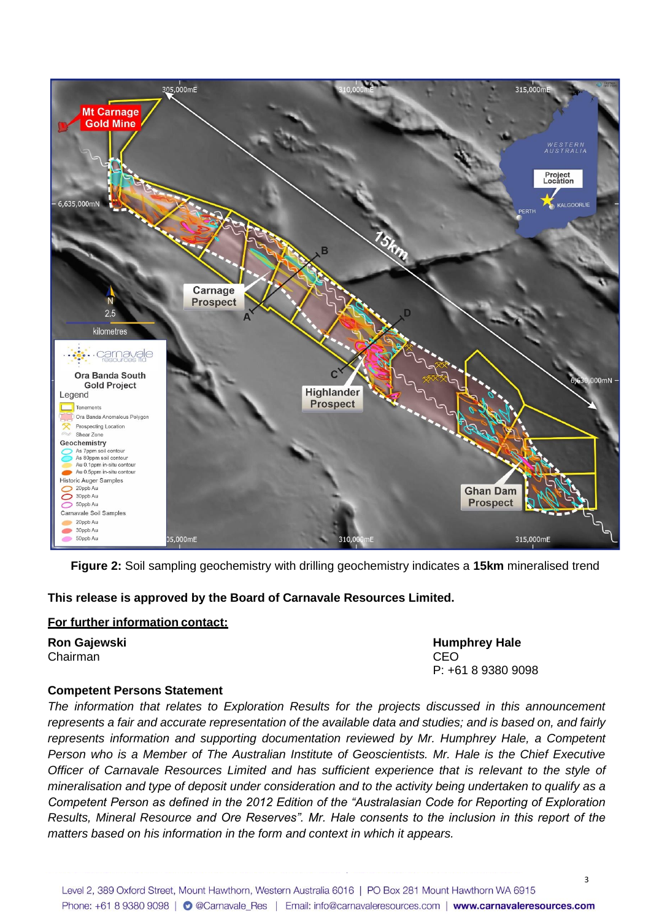

**Figure 2:** Soil sampling geochemistry with drilling geochemistry indicates a **15km** mineralised trend

**This release is approved by the Board of Carnavale Resources Limited.**

#### **For further information contact:**

Chairman CEO

**Ron Gajewski Humphrey Hale** P: +61 8 9380 9098

#### **Competent Persons Statement**

*The information that relates to Exploration Results for the projects discussed in this announcement represents a fair and accurate representation of the available data and studies; and is based on, and fairly represents information and supporting documentation reviewed by Mr. Humphrey Hale, a Competent Person who is a Member of The Australian Institute of Geoscientists. Mr. Hale is the Chief Executive Officer of Carnavale Resources Limited and has sufficient experience that is relevant to the style of mineralisation and type of deposit under consideration and to the activity being undertaken to qualify as a Competent Person as defined in the 2012 Edition of the "Australasian Code for Reporting of Exploration Results, Mineral Resource and Ore Reserves". Mr. Hale consents to the inclusion in this report of the matters based on his information in the form and context in which it appears.*